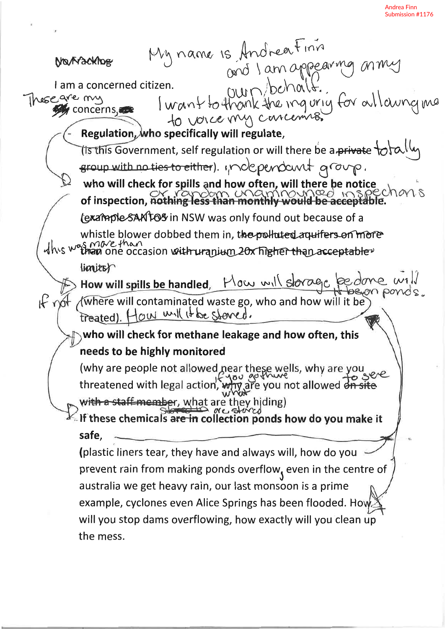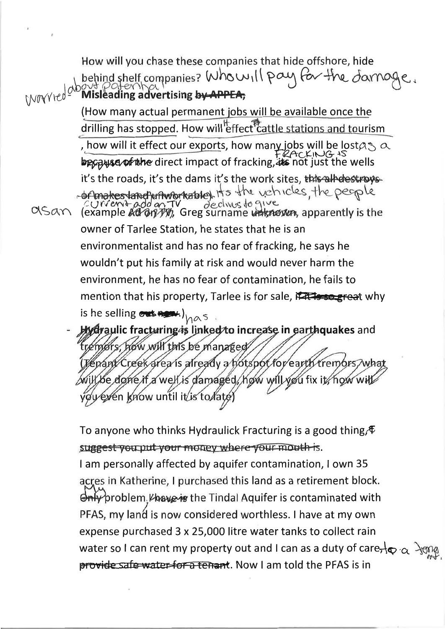How will you chase these companies that hide offshore, hide behind shelf companies? Who will pay for the *J*arnage. (How many actual permanent jobs will be available once the drilling has stopped. How will effect cattle stations and tourism , how will it effect our exports, how many jobs will be lost  $\alpha$  and  $\beta$  and  $\beta$  and  $\beta$  and  $\beta$  and  $\beta$  and  $\beta$  and  $\beta$  are wells it's the roads, it's the dams it's the work sites, this alle destroysof makesland unworkable) it's the vehicles, the people<br>current add on TV declines to give<br>(example ad anyty), Greg surname unknown, apparently is the asan owner of Tarlee Station, he states that he is an environmentalist and has no fear of fracking, he says he wouldn't put his family at risk and would never harm the environment, he has no fear of contamination, he fails to mention that his property, Tarlee is for sale, FATs so great why is he selling out ALM.) has **Hydraulic fracturing is linked to increase in earthquakes** and how will this be managed trémors. (Kenant/Creek area is already a hotspot for earth tremors, what will be done if a well is damaged, how will you fix it, how will

ydy eyen know until it/is to/late

To anyone who thinks Hydraulick Fracturing is a good thing  $\oint$ suggest you put your money where your mouth is.

I am personally affected by aquifer contamination, I own 35 acres in Katherine, I purchased this land as a retirement block. fy problem *Vhave is* the Tindal Aquifer is contaminated with PFAS, my land is now considered worthless. I have at my own expense purchased 3 x 25,000 litre water tanks to collect rain water so I can rent my property out and I can as a duty of care,  $\oint_C \alpha \rightarrow \alpha$ provide safe water for a tenant. Now I am told the PFAS is in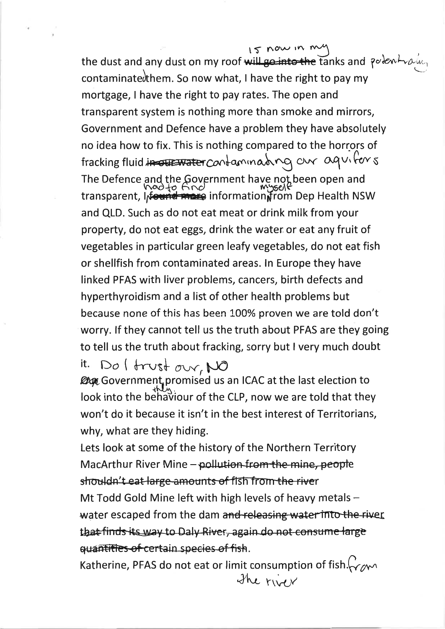15 now in me

the dust and any dust on my roof will go into the tanks and polent rain contaminate them. So now what, I have the right to pay my mortgage, I have the right to pay rates. The open and transparent system is nothing more than smoke and mirrors, Government and Defence have a problem they have absolutely no idea how to fix. This is nothing compared to the horrors of fracking fluid in our water contaminating our aguitors The Defence and the Government have not been open and<br>transparent, Information mation in myself<br>transparent, Information information from Dep Health NSW and QLD. Such as do not eat meat or drink milk from your property, do not eat eggs, drink the water or eat any fruit of vegetables in particular green leafy vegetables, do not eat fish or shellfish from contaminated areas. In Europe they have linked PFAS with liver problems, cancers, birth defects and hyperthyroidism and a list of other health problems but because none of this has been 100% proven we are told don't worry. If they cannot tell us the truth about PFAS are they going to tell us the truth about fracking, sorry but I very much doubt

it.  $Do \mid frust \text{ over}$  NO<br> *Dege* Government promised us an ICAC at the last election to look into the behaviour of the CLP, now we are told that they won't do it because it isn't in the best interest of Territorians, why, what are they hiding.

Lets look at some of the history of the Northern Territory MacArthur River Mine – pollution from the mine, people shouldn't eat large amounts of fish from the river Mt Todd Gold Mine left with high levels of heavy metals water escaped from the dam and releasing water into the river that finds its way to Daly River, again do not consume large quantities of certain species of fish.

Katherine, PFAS do not eat or limit consumption of fish. $\zeta_{\gamma\gamma}$ The river